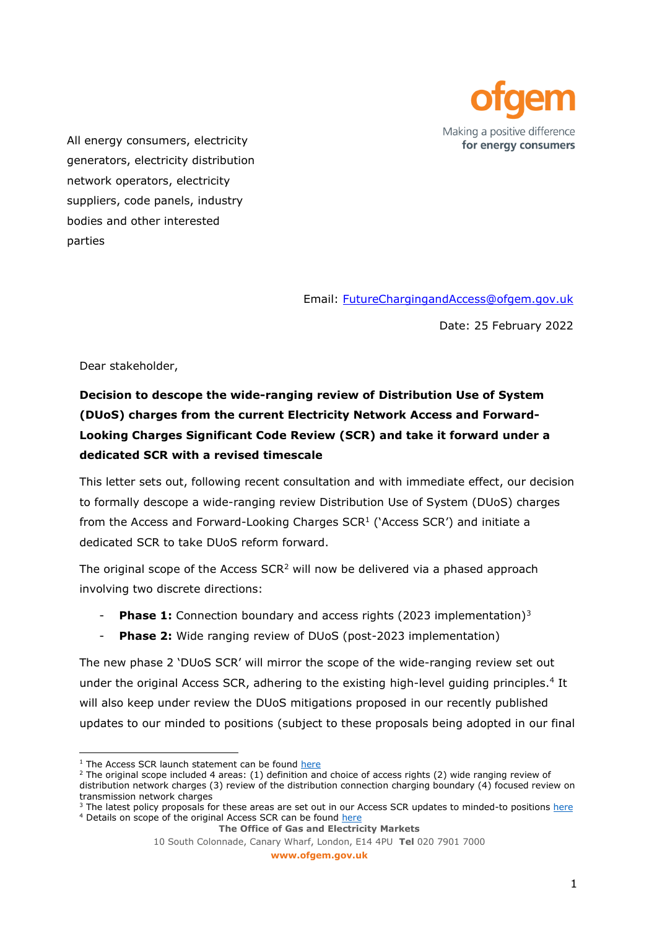

All energy consumers, electricity generators, electricity distribution network operators, electricity suppliers, code panels, industry bodies and other interested parties

Email: [FutureChargingandAccess@ofgem.gov.uk](mailto:FutureChargingandAccess@ofgem.gov.uk)

Date: 25 February 2022

Dear stakeholder,

# **Decision to descope the wide-ranging review of Distribution Use of System (DUoS) charges from the current Electricity Network Access and Forward-Looking Charges Significant Code Review (SCR) and take it forward under a dedicated SCR with a revised timescale**

This letter sets out, following recent consultation and with immediate effect, our decision to formally descope a wide-ranging review Distribution Use of System (DUoS) charges from the Access and Forward-Looking Charges  $SCR<sup>1</sup>$  (`Access SCR') and initiate a dedicated SCR to take DUoS reform forward.

The original scope of the Access SCR<sup>2</sup> will now be delivered via a phased approach involving two discrete directions:

- **Phase 1:** Connection boundary and access rights (2023 implementation)<sup>3</sup>
- **Phase 2:** Wide ranging review of DUoS (post-2023 implementation)

The new phase 2 'DUoS SCR' will mirror the scope of the wide-ranging review set out under the original Access SCR, adhering to the existing high-level guiding principles.<sup>4</sup> It will also keep under review the DUoS mitigations proposed in our recently published updates to our minded to positions (subject to these proposals being adopted in our final

<sup>&</sup>lt;sup>1</sup> The Access SCR launch statement can be found [here](https://www.ofgem.gov.uk/publications/electricity-network-access-and-forward-looking-charging-review-significant-code-review-launch-and-wider-decision)

<sup>&</sup>lt;sup>2</sup> The original scope included 4 areas: (1) definition and choice of access rights (2) wide ranging review of distribution network charges (3) review of the distribution connection charging boundary (4) focused review on transmission network charges

<sup>&</sup>lt;sup>3</sup> The latest policy proposals for these areas are set out in our Access SCR updates to minded-to positions [here](https://www.ofgem.gov.uk/publications/access-and-forward-looking-charges-significant-code-review-updates-our-minded-positions) <sup>4</sup> Details on scope of the original Access SCR can be foun[d here](https://www.ofgem.gov.uk/sites/default/files/docs/2018/12/appendix_1_-_details_on_scope.pdf)

**The Office of Gas and Electricity Markets**

<sup>10</sup> South Colonnade, Canary Wharf, London, E14 4PU **Tel** 020 7901 7000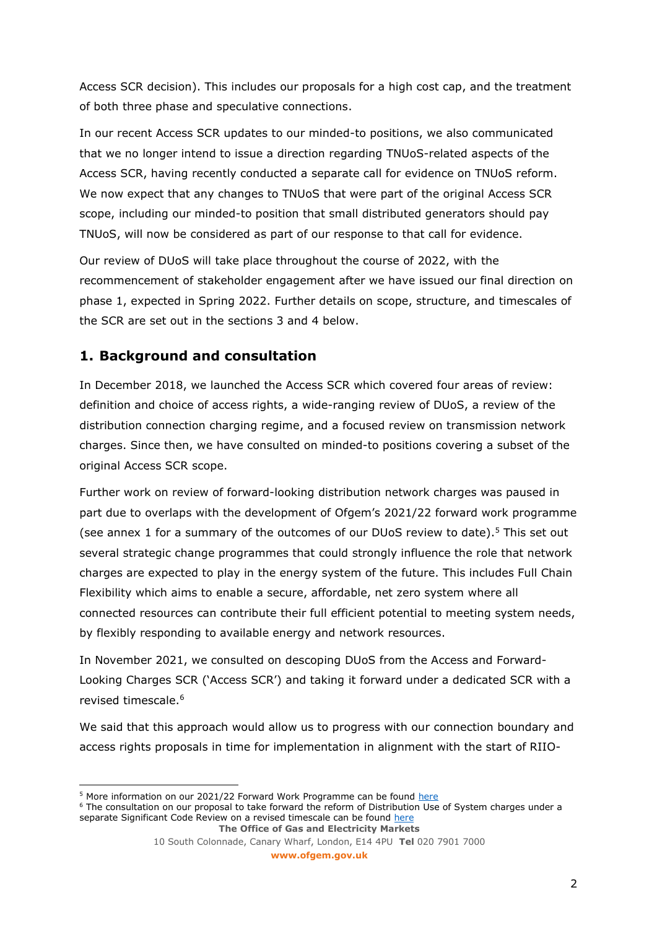Access SCR decision). This includes our proposals for a high cost cap, and the treatment of both three phase and speculative connections.

In our recent Access SCR updates to our minded-to positions, we also communicated that we no longer intend to issue a direction regarding TNUoS-related aspects of the Access SCR, having recently conducted a separate call for evidence on TNUoS reform. We now expect that any changes to TNUoS that were part of the original Access SCR scope, including our minded-to position that small distributed generators should pay TNUoS, will now be considered as part of our response to that call for evidence.

Our review of DUoS will take place throughout the course of 2022, with the recommencement of stakeholder engagement after we have issued our final direction on phase 1, expected in Spring 2022. Further details on scope, structure, and timescales of the SCR are set out in the sections 3 and 4 below.

# **1. Background and consultation**

In December 2018, we launched the Access SCR which covered four areas of review: definition and choice of access rights, a wide-ranging review of DUoS, a review of the distribution connection charging regime, and a focused review on transmission network charges. Since then, we have consulted on minded-to positions covering a subset of the original Access SCR scope.

Further work on review of forward-looking distribution network charges was paused in part due to overlaps with the development of Ofgem's 2021/22 forward work programme (see annex 1 for a summary of the outcomes of our DUoS review to date).<sup>5</sup> This set out several strategic change programmes that could strongly influence the role that network charges are expected to play in the energy system of the future. This includes Full Chain Flexibility which aims to enable a secure, affordable, net zero system where all connected resources can contribute their full efficient potential to meeting system needs, by flexibly responding to available energy and network resources.

In November 2021, we consulted on descoping DUoS from the Access and Forward-Looking Charges SCR ('Access SCR') and taking it forward under a dedicated SCR with a revised timescale. 6

We said that this approach would allow us to progress with our connection boundary and access rights proposals in time for implementation in alignment with the start of RIIO-

**www.ofgem.gov.uk**

<sup>&</sup>lt;sup>5</sup> More information on our 2021/22 Forward Work Programme can be found [here](https://www.ofgem.gov.uk/publications/forward-work-programme-202122#Our%20focus%20for%C2%A02021/22)

**The Office of Gas and Electricity Markets** <sup>6</sup> The consultation on our proposal to take forward the reform of Distribution Use of System charges under a separate Significant Code Review on a revised timescale can be found [here](https://www.ofgem.gov.uk/publications/consultation-our-proposal-take-forward-reform-distribution-use-system-charges-under-separate-significant-code-review-revised-timescales)

<sup>10</sup> South Colonnade, Canary Wharf, London, E14 4PU **Tel** 020 7901 7000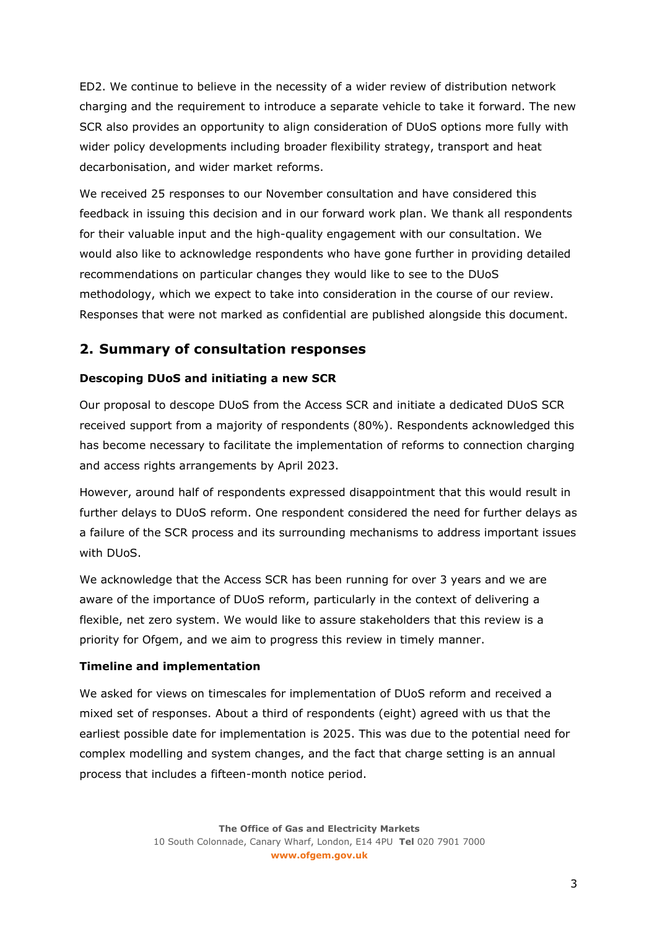ED2. We continue to believe in the necessity of a wider review of distribution network charging and the requirement to introduce a separate vehicle to take it forward. The new SCR also provides an opportunity to align consideration of DUoS options more fully with wider policy developments including broader flexibility strategy, transport and heat decarbonisation, and wider market reforms.

We received 25 responses to our November consultation and have considered this feedback in issuing this decision and in our forward work plan. We thank all respondents for their valuable input and the high-quality engagement with our consultation. We would also like to acknowledge respondents who have gone further in providing detailed recommendations on particular changes they would like to see to the DUoS methodology, which we expect to take into consideration in the course of our review. Responses that were not marked as confidential are published alongside this document.

### **2. Summary of consultation responses**

#### **Descoping DUoS and initiating a new SCR**

Our proposal to descope DUoS from the Access SCR and initiate a dedicated DUoS SCR received support from a majority of respondents (80%). Respondents acknowledged this has become necessary to facilitate the implementation of reforms to connection charging and access rights arrangements by April 2023.

However, around half of respondents expressed disappointment that this would result in further delays to DUoS reform. One respondent considered the need for further delays as a failure of the SCR process and its surrounding mechanisms to address important issues with DUoS.

We acknowledge that the Access SCR has been running for over 3 years and we are aware of the importance of DUoS reform, particularly in the context of delivering a flexible, net zero system. We would like to assure stakeholders that this review is a priority for Ofgem, and we aim to progress this review in timely manner.

#### **Timeline and implementation**

We asked for views on timescales for implementation of DUoS reform and received a mixed set of responses. About a third of respondents (eight) agreed with us that the earliest possible date for implementation is 2025. This was due to the potential need for complex modelling and system changes, and the fact that charge setting is an annual process that includes a fifteen-month notice period.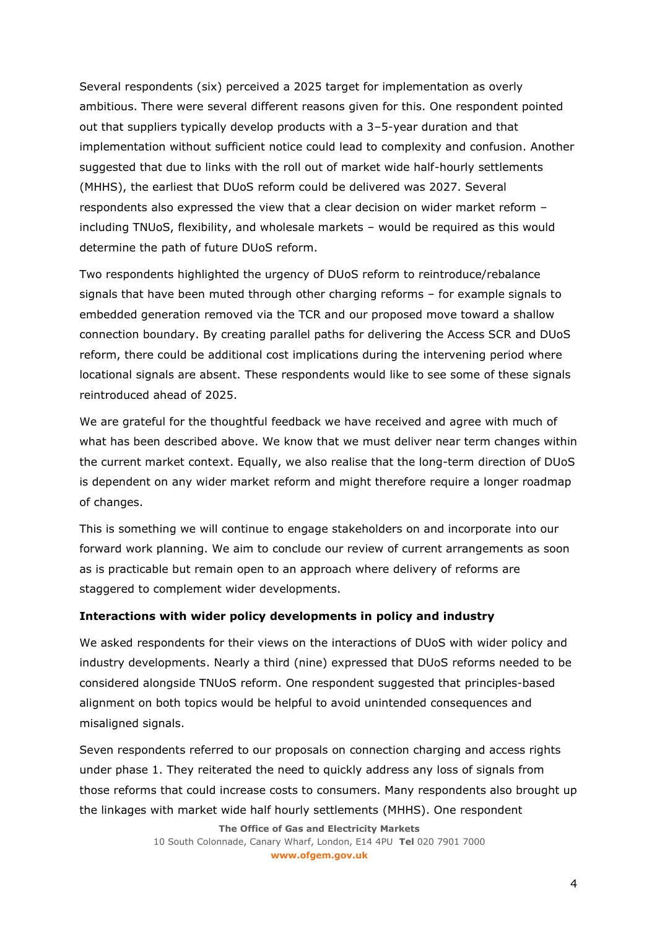Several respondents (six) perceived a 2025 target for implementation as overly ambitious. There were several different reasons given for this. One respondent pointed out that suppliers typically develop products with a 3–5-year duration and that implementation without sufficient notice could lead to complexity and confusion. Another suggested that due to links with the roll out of market wide half-hourly settlements (MHHS), the earliest that DUoS reform could be delivered was 2027. Several respondents also expressed the view that a clear decision on wider market reform – including TNUoS, flexibility, and wholesale markets – would be required as this would determine the path of future DUoS reform.

Two respondents highlighted the urgency of DUoS reform to reintroduce/rebalance signals that have been muted through other charging reforms – for example signals to embedded generation removed via the TCR and our proposed move toward a shallow connection boundary. By creating parallel paths for delivering the Access SCR and DUoS reform, there could be additional cost implications during the intervening period where locational signals are absent. These respondents would like to see some of these signals reintroduced ahead of 2025.

We are grateful for the thoughtful feedback we have received and agree with much of what has been described above. We know that we must deliver near term changes within the current market context. Equally, we also realise that the long-term direction of DUoS is dependent on any wider market reform and might therefore require a longer roadmap of changes.

This is something we will continue to engage stakeholders on and incorporate into our forward work planning. We aim to conclude our review of current arrangements as soon as is practicable but remain open to an approach where delivery of reforms are staggered to complement wider developments.

#### **Interactions with wider policy developments in policy and industry**

We asked respondents for their views on the interactions of DUoS with wider policy and industry developments. Nearly a third (nine) expressed that DUoS reforms needed to be considered alongside TNUoS reform. One respondent suggested that principles-based alignment on both topics would be helpful to avoid unintended consequences and misaligned signals.

Seven respondents referred to our proposals on connection charging and access rights under phase 1. They reiterated the need to quickly address any loss of signals from those reforms that could increase costs to consumers. Many respondents also brought up the linkages with market wide half hourly settlements (MHHS). One respondent

> **The Office of Gas and Electricity Markets** 10 South Colonnade, Canary Wharf, London, E14 4PU **Tel** 020 7901 7000 **www.ofgem.gov.uk**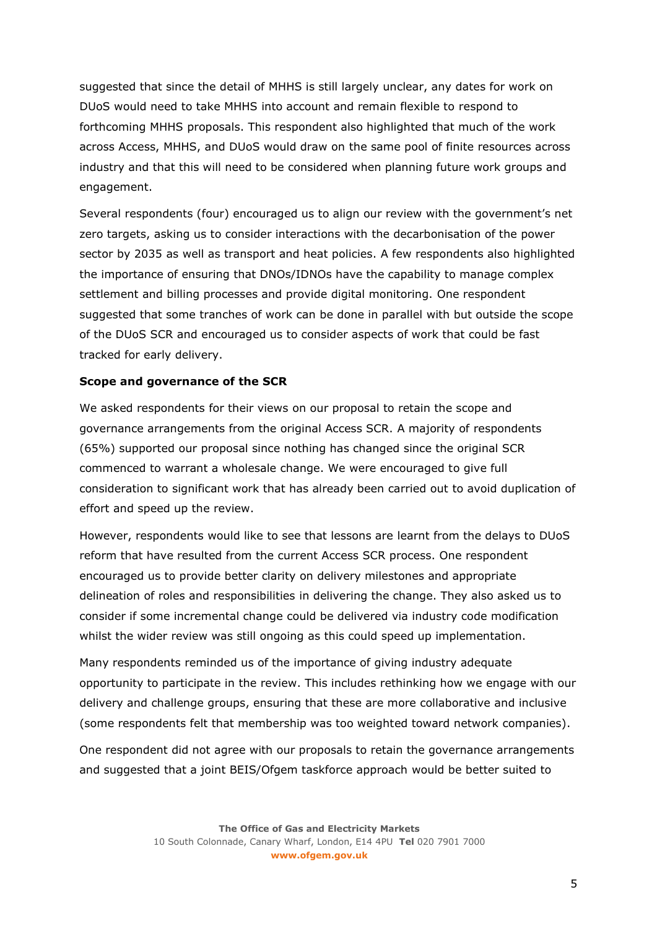suggested that since the detail of MHHS is still largely unclear, any dates for work on DUoS would need to take MHHS into account and remain flexible to respond to forthcoming MHHS proposals. This respondent also highlighted that much of the work across Access, MHHS, and DUoS would draw on the same pool of finite resources across industry and that this will need to be considered when planning future work groups and engagement.

Several respondents (four) encouraged us to align our review with the government's net zero targets, asking us to consider interactions with the decarbonisation of the power sector by 2035 as well as transport and heat policies. A few respondents also highlighted the importance of ensuring that DNOs/IDNOs have the capability to manage complex settlement and billing processes and provide digital monitoring. One respondent suggested that some tranches of work can be done in parallel with but outside the scope of the DUoS SCR and encouraged us to consider aspects of work that could be fast tracked for early delivery.

#### **Scope and governance of the SCR**

We asked respondents for their views on our proposal to retain the scope and governance arrangements from the original Access SCR. A majority of respondents (65%) supported our proposal since nothing has changed since the original SCR commenced to warrant a wholesale change. We were encouraged to give full consideration to significant work that has already been carried out to avoid duplication of effort and speed up the review.

However, respondents would like to see that lessons are learnt from the delays to DUoS reform that have resulted from the current Access SCR process. One respondent encouraged us to provide better clarity on delivery milestones and appropriate delineation of roles and responsibilities in delivering the change. They also asked us to consider if some incremental change could be delivered via industry code modification whilst the wider review was still ongoing as this could speed up implementation.

Many respondents reminded us of the importance of giving industry adequate opportunity to participate in the review. This includes rethinking how we engage with our delivery and challenge groups, ensuring that these are more collaborative and inclusive (some respondents felt that membership was too weighted toward network companies).

One respondent did not agree with our proposals to retain the governance arrangements and suggested that a joint BEIS/Ofgem taskforce approach would be better suited to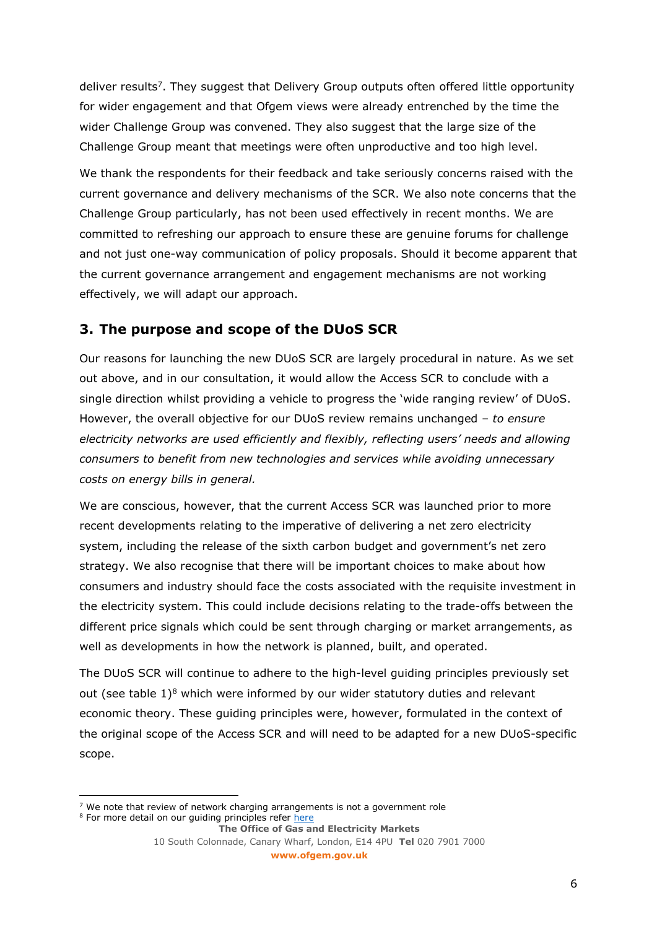deliver results<sup>7</sup>. They suggest that Delivery Group outputs often offered little opportunity for wider engagement and that Ofgem views were already entrenched by the time the wider Challenge Group was convened. They also suggest that the large size of the Challenge Group meant that meetings were often unproductive and too high level.

We thank the respondents for their feedback and take seriously concerns raised with the current governance and delivery mechanisms of the SCR. We also note concerns that the Challenge Group particularly, has not been used effectively in recent months. We are committed to refreshing our approach to ensure these are genuine forums for challenge and not just one-way communication of policy proposals. Should it become apparent that the current governance arrangement and engagement mechanisms are not working effectively, we will adapt our approach.

### **3. The purpose and scope of the DUoS SCR**

Our reasons for launching the new DUoS SCR are largely procedural in nature. As we set out above, and in our consultation, it would allow the Access SCR to conclude with a single direction whilst providing a vehicle to progress the 'wide ranging review' of DUoS. However, the overall objective for our DUoS review remains unchanged – *to ensure electricity networks are used efficiently and flexibly, reflecting users' needs and allowing consumers to benefit from new technologies and services while avoiding unnecessary costs on energy bills in general.*

We are conscious, however, that the current Access SCR was launched prior to more recent developments relating to the imperative of delivering a net zero electricity system, including the release of the sixth carbon budget and government's net zero strategy. We also recognise that there will be important choices to make about how consumers and industry should face the costs associated with the requisite investment in the electricity system. This could include decisions relating to the trade-offs between the different price signals which could be sent through charging or market arrangements, as well as developments in how the network is planned, built, and operated.

The DUoS SCR will continue to adhere to the high-level guiding principles previously set out (see table  $1$ )<sup>8</sup> which were informed by our wider statutory duties and relevant economic theory. These guiding principles were, however, formulated in the context of the original scope of the Access SCR and will need to be adapted for a new DUoS-specific scope.

 $7$  We note that review of network charging arrangements is not a government role

**The Office of Gas and Electricity Markets** <sup>8</sup> For more detail on our guiding principles refer [here](https://www.ofgem.gov.uk/sites/default/files/docs/2019/09/111_-_working_paper_-_summer_2019_-_intro_note_final.pdf)

<sup>10</sup> South Colonnade, Canary Wharf, London, E14 4PU **Tel** 020 7901 7000 **www.ofgem.gov.uk**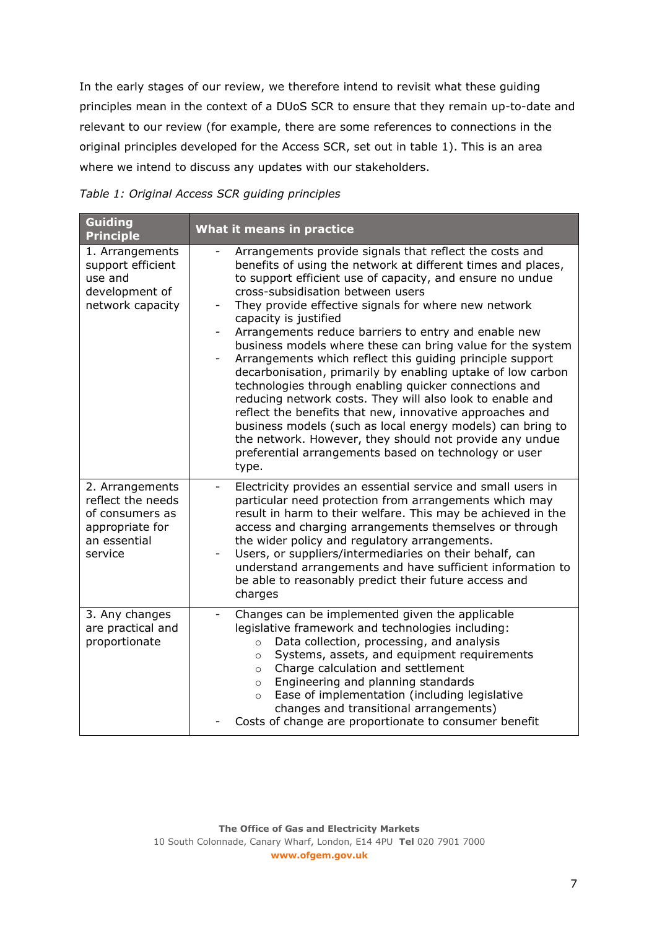In the early stages of our review, we therefore intend to revisit what these guiding principles mean in the context of a DUoS SCR to ensure that they remain up-to-date and relevant to our review (for example, there are some references to connections in the original principles developed for the Access SCR, set out in table 1). This is an area where we intend to discuss any updates with our stakeholders.

#### *Table 1: Original Access SCR guiding principles*

| Guiding<br><b>Principle</b>                                                                           | What it means in practice                                                                                                                                                                                                                                                                                                                                                                                                                                                                                                                                                                                                                                                                                                                                                                                                                                                                                                                 |
|-------------------------------------------------------------------------------------------------------|-------------------------------------------------------------------------------------------------------------------------------------------------------------------------------------------------------------------------------------------------------------------------------------------------------------------------------------------------------------------------------------------------------------------------------------------------------------------------------------------------------------------------------------------------------------------------------------------------------------------------------------------------------------------------------------------------------------------------------------------------------------------------------------------------------------------------------------------------------------------------------------------------------------------------------------------|
| 1. Arrangements<br>support efficient<br>use and<br>development of<br>network capacity                 | Arrangements provide signals that reflect the costs and<br>benefits of using the network at different times and places,<br>to support efficient use of capacity, and ensure no undue<br>cross-subsidisation between users<br>They provide effective signals for where new network<br>capacity is justified<br>Arrangements reduce barriers to entry and enable new<br>business models where these can bring value for the system<br>Arrangements which reflect this guiding principle support<br>decarbonisation, primarily by enabling uptake of low carbon<br>technologies through enabling quicker connections and<br>reducing network costs. They will also look to enable and<br>reflect the benefits that new, innovative approaches and<br>business models (such as local energy models) can bring to<br>the network. However, they should not provide any undue<br>preferential arrangements based on technology or user<br>type. |
| 2. Arrangements<br>reflect the needs<br>of consumers as<br>appropriate for<br>an essential<br>service | Electricity provides an essential service and small users in<br>$\overline{\phantom{a}}$<br>particular need protection from arrangements which may<br>result in harm to their welfare. This may be achieved in the<br>access and charging arrangements themselves or through<br>the wider policy and regulatory arrangements.<br>Users, or suppliers/intermediaries on their behalf, can<br>understand arrangements and have sufficient information to<br>be able to reasonably predict their future access and<br>charges                                                                                                                                                                                                                                                                                                                                                                                                                |
| 3. Any changes<br>are practical and<br>proportionate                                                  | Changes can be implemented given the applicable<br>$\overline{\phantom{a}}$<br>legislative framework and technologies including:<br>Data collection, processing, and analysis<br>$\circ$<br>Systems, assets, and equipment requirements<br>$\Omega$<br>Charge calculation and settlement<br>$\circ$<br>Engineering and planning standards<br>$\circ$<br>Ease of implementation (including legislative<br>$\circ$<br>changes and transitional arrangements)<br>Costs of change are proportionate to consumer benefit                                                                                                                                                                                                                                                                                                                                                                                                                       |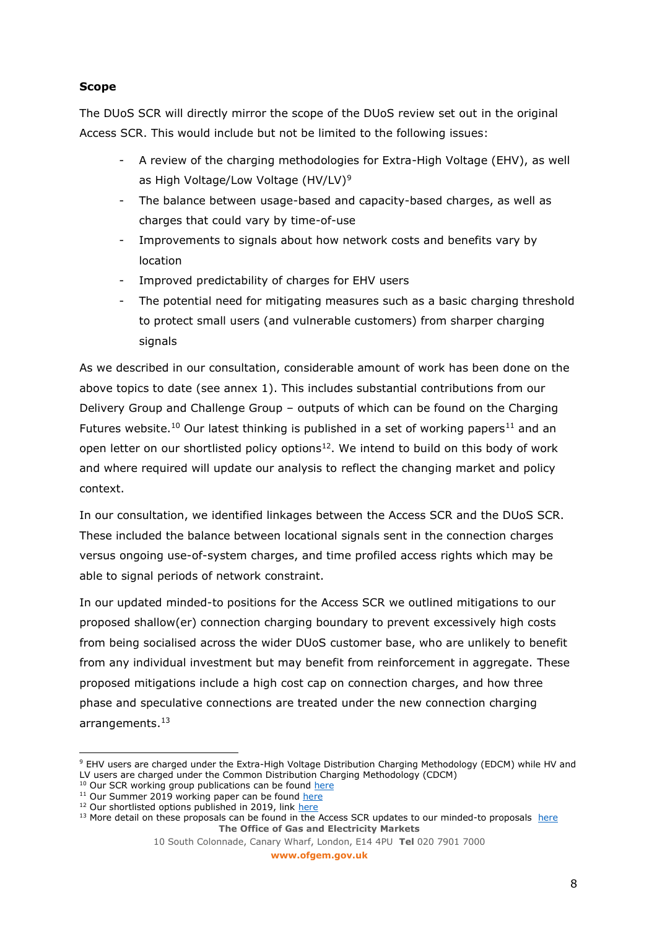### **Scope**

The DUoS SCR will directly mirror the scope of the DUoS review set out in the original Access SCR. This would include but not be limited to the following issues:

- A review of the charging methodologies for Extra-High Voltage (EHV), as well as High Voltage/Low Voltage (HV/LV)<sup>9</sup>
- The balance between usage-based and capacity-based charges, as well as charges that could vary by time-of-use
- Improvements to signals about how network costs and benefits vary by location
- Improved predictability of charges for EHV users
- The potential need for mitigating measures such as a basic charging threshold to protect small users (and vulnerable customers) from sharper charging signals

As we described in our consultation, considerable amount of work has been done on the above topics to date (see annex 1). This includes substantial contributions from our Delivery Group and Challenge Group – outputs of which can be found on the Charging Futures website.<sup>10</sup> Our latest thinking is published in a set of working papers<sup>11</sup> and an open letter on our shortlisted policy options<sup>12</sup>. We intend to build on this body of work and where required will update our analysis to reflect the changing market and policy context.

In our consultation, we identified linkages between the Access SCR and the DUoS SCR. These included the balance between locational signals sent in the connection charges versus ongoing use-of-system charges, and time profiled access rights which may be able to signal periods of network constraint.

In our updated minded-to positions for the Access SCR we outlined mitigations to our proposed shallow(er) connection charging boundary to prevent excessively high costs from being socialised across the wider DUoS customer base, who are unlikely to benefit from any individual investment but may benefit from reinforcement in aggregate. These proposed mitigations include a high cost cap on connection charges, and how three phase and speculative connections are treated under the new connection charging arrangements. 13

**www.ofgem.gov.uk**

<sup>9</sup> EHV users are charged under the Extra-High Voltage Distribution Charging Methodology (EDCM) while HV and LV users are charged under the Common Distribution Charging Methodology (CDCM)

<sup>&</sup>lt;sup>10</sup> Our SCR working group publications can be found [here](http://www.chargingfutures.com/charging-reforms/access-forward-looking-charges/resources-2/scr-working-group-publications/)

 $11$  Our Summer 2019 working paper can be found [here](https://www.ofgem.gov.uk/publications/access-and-forward-looking-charges-significant-code-review-summer-2019-working-paper)

<sup>&</sup>lt;sup>12</sup> Our shortlisted options published in 2019, link [here](https://ofgemcloud.sharepoint.com/sites/ElectricityNetworkAccessandCharging/Shared%20Documents/Access/03%20Significant%20Code%20Review/02%20Network%20Charging%20(DUoS)/DUoS%20SCR%20Launch%20Statement/Electricity%20Network%20Access%20and%20Forward-Looking%20Charging%20Review:%20Open%20Letter%20on%20our%20shortlisted%20policy%20options%20|%20Ofgem)

**The Office of Gas and Electricity Markets**  $13$  More detail on these proposals can be found in the Access SCR updates to our minded-to proposals [here](https://www.ofgem.gov.uk/publications/access-and-forward-looking-charges-significant-code-review-updates-our-minded-positions)

<sup>10</sup> South Colonnade, Canary Wharf, London, E14 4PU **Tel** 020 7901 7000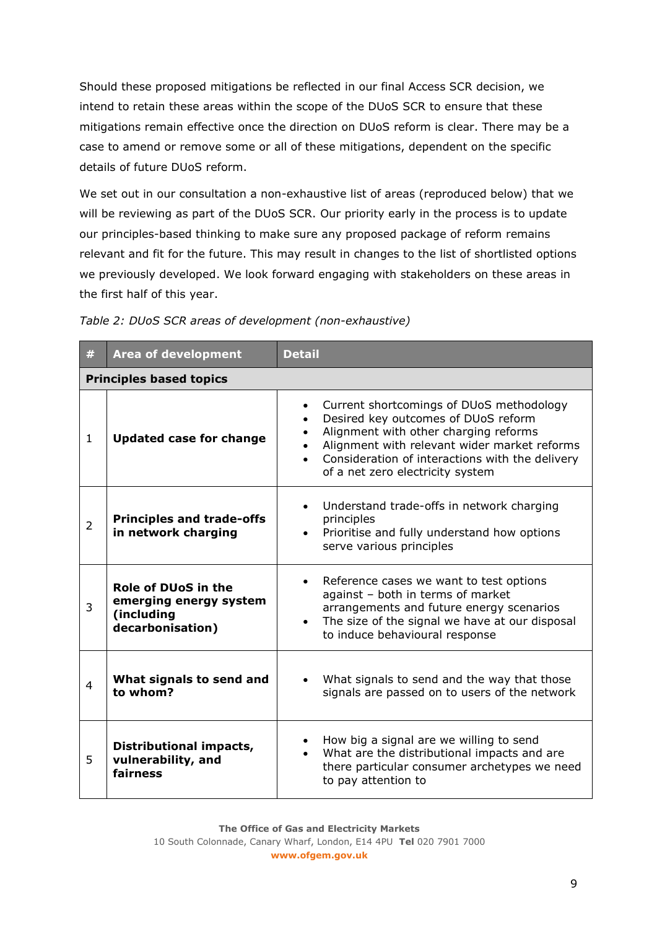Should these proposed mitigations be reflected in our final Access SCR decision, we intend to retain these areas within the scope of the DUoS SCR to ensure that these mitigations remain effective once the direction on DUoS reform is clear. There may be a case to amend or remove some or all of these mitigations, dependent on the specific details of future DUoS reform.

We set out in our consultation a non-exhaustive list of areas (reproduced below) that we will be reviewing as part of the DUoS SCR. Our priority early in the process is to update our principles-based thinking to make sure any proposed package of reform remains relevant and fit for the future. This may result in changes to the list of shortlisted options we previously developed. We look forward engaging with stakeholders on these areas in the first half of this year.

| #              | <b>Area of development</b>                                                             | <b>Detail</b>                                                                                                                                                                                                                                                                             |  |  |  |
|----------------|----------------------------------------------------------------------------------------|-------------------------------------------------------------------------------------------------------------------------------------------------------------------------------------------------------------------------------------------------------------------------------------------|--|--|--|
|                | <b>Principles based topics</b>                                                         |                                                                                                                                                                                                                                                                                           |  |  |  |
| $\mathbf{1}$   | <b>Updated case for change</b>                                                         | Current shortcomings of DUoS methodology<br>$\bullet$<br>Desired key outcomes of DUoS reform<br>Alignment with other charging reforms<br>Alignment with relevant wider market reforms<br>Consideration of interactions with the delivery<br>$\bullet$<br>of a net zero electricity system |  |  |  |
| $\overline{2}$ | <b>Principles and trade-offs</b><br>in network charging                                | Understand trade-offs in network charging<br>$\bullet$<br>principles<br>Prioritise and fully understand how options<br>$\bullet$<br>serve various principles                                                                                                                              |  |  |  |
| 3              | <b>Role of DUoS in the</b><br>emerging energy system<br>(including<br>decarbonisation) | Reference cases we want to test options<br>$\bullet$<br>against - both in terms of market<br>arrangements and future energy scenarios<br>The size of the signal we have at our disposal<br>$\bullet$<br>to induce behavioural response                                                    |  |  |  |
| $\overline{4}$ | What signals to send and<br>to whom?                                                   | What signals to send and the way that those<br>$\bullet$<br>signals are passed on to users of the network                                                                                                                                                                                 |  |  |  |
| 5              | Distributional impacts,<br>vulnerability, and<br>fairness                              | How big a signal are we willing to send<br>What are the distributional impacts and are<br>$\bullet$<br>there particular consumer archetypes we need<br>to pay attention to                                                                                                                |  |  |  |

|  | Table 2: DUoS SCR areas of development (non-exhaustive) |  |
|--|---------------------------------------------------------|--|
|  |                                                         |  |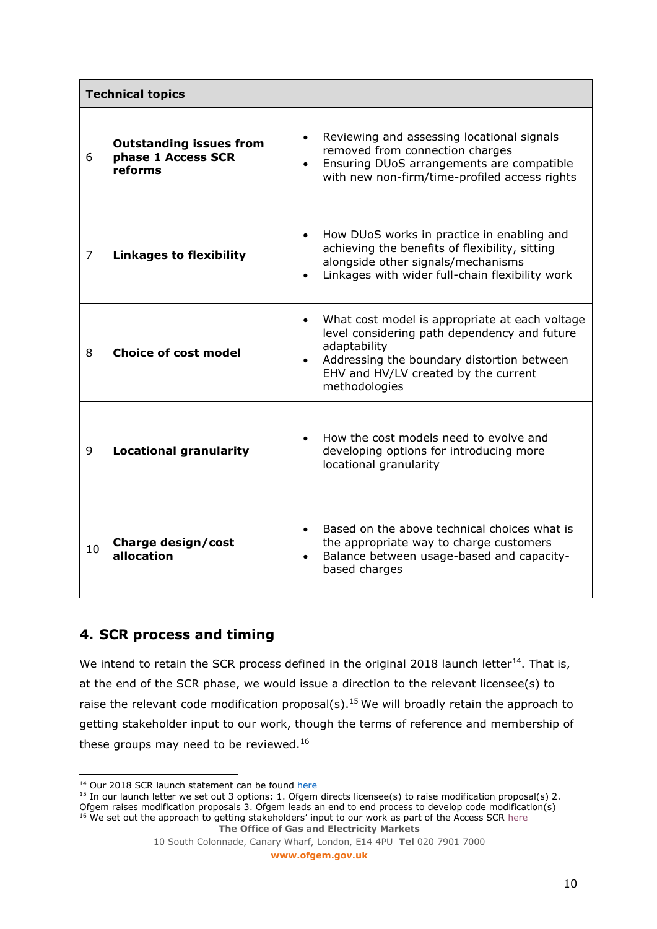| <b>Technical topics</b> |                                                                 |                                                                                                                                                                                                                                                 |
|-------------------------|-----------------------------------------------------------------|-------------------------------------------------------------------------------------------------------------------------------------------------------------------------------------------------------------------------------------------------|
| 6                       | <b>Outstanding issues from</b><br>phase 1 Access SCR<br>reforms | Reviewing and assessing locational signals<br>$\bullet$<br>removed from connection charges<br>Ensuring DUoS arrangements are compatible<br>with new non-firm/time-profiled access rights                                                        |
| $\overline{7}$          | <b>Linkages to flexibility</b>                                  | How DUoS works in practice in enabling and<br>$\bullet$<br>achieving the benefits of flexibility, sitting<br>alongside other signals/mechanisms<br>Linkages with wider full-chain flexibility work<br>$\bullet$                                 |
| 8                       | <b>Choice of cost model</b>                                     | What cost model is appropriate at each voltage<br>$\bullet$<br>level considering path dependency and future<br>adaptability<br>Addressing the boundary distortion between<br>$\bullet$<br>EHV and HV/LV created by the current<br>methodologies |
| 9                       | <b>Locational granularity</b>                                   | How the cost models need to evolve and<br>developing options for introducing more<br>locational granularity                                                                                                                                     |
| 10                      | Charge design/cost<br>allocation                                | Based on the above technical choices what is<br>the appropriate way to charge customers<br>Balance between usage-based and capacity-<br>$\bullet$<br>based charges                                                                              |

# **4. SCR process and timing**

We intend to retain the SCR process defined in the original 2018 launch letter $^{14}$ . That is, at the end of the SCR phase, we would issue a direction to the relevant licensee(s) to raise the relevant code modification proposal(s).<sup>15</sup> We will broadly retain the approach to getting stakeholder input to our work, though the terms of reference and membership of these groups may need to be reviewed.<sup>16</sup>

**The Office of Gas and Electricity Markets** <sup>16</sup> We set out the approach to getting stakeholders' input to our work as part of the Access SCR [here](https://www.ofgem.gov.uk/sites/default/files/docs/2018/12/appendix_3_-_stakeholders_engagement_1.pdf)

**www.ofgem.gov.uk**

 $14$  Our 2018 SCR launch statement can be found [here](https://ofgemcloud.sharepoint.com/sites/ElectricityNetworkAccessandCharging/Shared%20Documents/Access/03%20Significant%20Code%20Review/02%20Network%20Charging%20(DUoS)/DUoS%20SCR%20Launch%20Statement/Decision%20doc%20Dec%202018%20-%20SCR%20launch%20statement%20FINAL%20VERSION%20(ofgem.gov.uk))

<sup>&</sup>lt;sup>15</sup> In our launch letter we set out 3 options: 1. Ofgem directs licensee(s) to raise modification proposal(s) 2. Ofgem raises modification proposals 3. Ofgem leads an end to end process to develop code modification(s)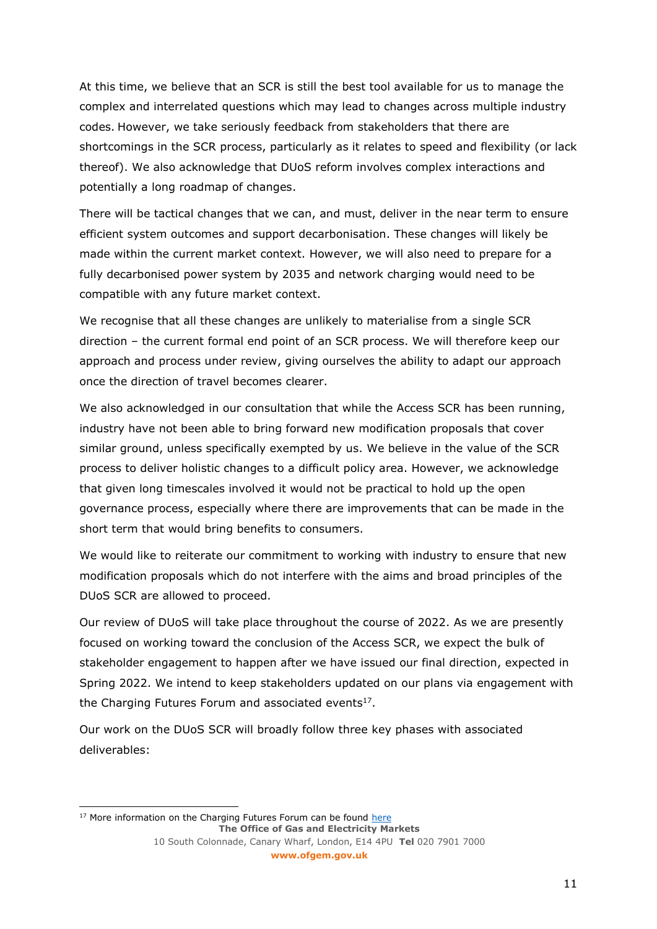At this time, we believe that an SCR is still the best tool available for us to manage the complex and interrelated questions which may lead to changes across multiple industry codes. However, we take seriously feedback from stakeholders that there are shortcomings in the SCR process, particularly as it relates to speed and flexibility (or lack thereof). We also acknowledge that DUoS reform involves complex interactions and potentially a long roadmap of changes.

There will be tactical changes that we can, and must, deliver in the near term to ensure efficient system outcomes and support decarbonisation. These changes will likely be made within the current market context. However, we will also need to prepare for a fully decarbonised power system by 2035 and network charging would need to be compatible with any future market context.

We recognise that all these changes are unlikely to materialise from a single SCR direction – the current formal end point of an SCR process. We will therefore keep our approach and process under review, giving ourselves the ability to adapt our approach once the direction of travel becomes clearer.

We also acknowledged in our consultation that while the Access SCR has been running, industry have not been able to bring forward new modification proposals that cover similar ground, unless specifically exempted by us. We believe in the value of the SCR process to deliver holistic changes to a difficult policy area. However, we acknowledge that given long timescales involved it would not be practical to hold up the open governance process, especially where there are improvements that can be made in the short term that would bring benefits to consumers.

We would like to reiterate our commitment to working with industry to ensure that new modification proposals which do not interfere with the aims and broad principles of the DUoS SCR are allowed to proceed.

Our review of DUoS will take place throughout the course of 2022. As we are presently focused on working toward the conclusion of the Access SCR, we expect the bulk of stakeholder engagement to happen after we have issued our final direction, expected in Spring 2022. We intend to keep stakeholders updated on our plans via engagement with the Charging Futures Forum and associated events $^{17}$ .

Our work on the DUoS SCR will broadly follow three key phases with associated deliverables:

**The Office of Gas and Electricity Markets** 10 South Colonnade, Canary Wharf, London, E14 4PU **Tel** 020 7901 7000 **www.ofgem.gov.uk**  $17$  More information on the Charging Futures Forum can be found [here](https://www.chargingfutures.com/)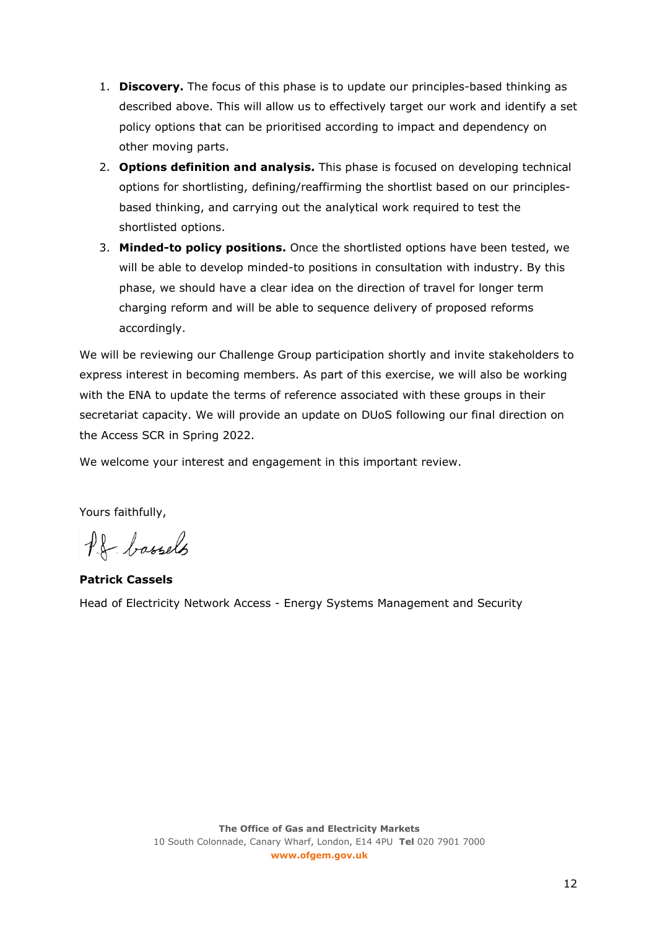- 1. **Discovery.** The focus of this phase is to update our principles-based thinking as described above. This will allow us to effectively target our work and identify a set policy options that can be prioritised according to impact and dependency on other moving parts.
- 2. **Options definition and analysis.** This phase is focused on developing technical options for shortlisting, defining/reaffirming the shortlist based on our principlesbased thinking, and carrying out the analytical work required to test the shortlisted options.
- 3. **Minded-to policy positions.** Once the shortlisted options have been tested, we will be able to develop minded-to positions in consultation with industry. By this phase, we should have a clear idea on the direction of travel for longer term charging reform and will be able to sequence delivery of proposed reforms accordingly.

We will be reviewing our Challenge Group participation shortly and invite stakeholders to express interest in becoming members. As part of this exercise, we will also be working with the ENA to update the terms of reference associated with these groups in their secretariat capacity. We will provide an update on DUoS following our final direction on the Access SCR in Spring 2022.

We welcome your interest and engagement in this important review.

Yours faithfully,

Pf bassels

**Patrick Cassels** Head of Electricity Network Access - Energy Systems Management and Security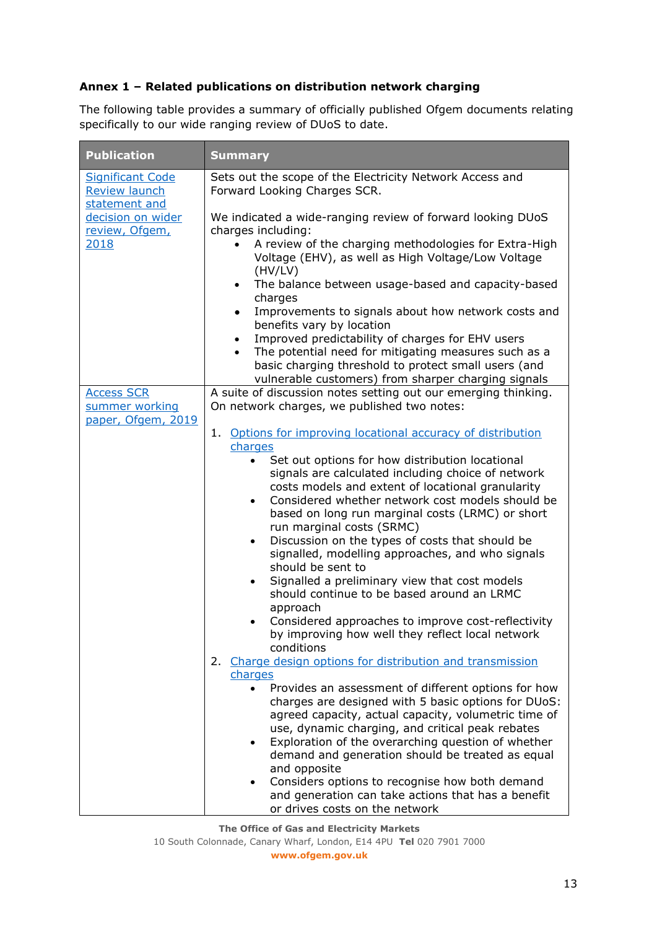### **Annex 1 – Related publications on distribution network charging**

The following table provides a summary of officially published Ofgem documents relating specifically to our wide ranging review of DUoS to date.

| <b>Publication</b>                                               | <b>Summary</b>                                                                                                                      |
|------------------------------------------------------------------|-------------------------------------------------------------------------------------------------------------------------------------|
| <b>Significant Code</b><br><b>Review launch</b><br>statement and | Sets out the scope of the Electricity Network Access and<br>Forward Looking Charges SCR.                                            |
| decision on wider<br>review, Ofgem,                              | We indicated a wide-ranging review of forward looking DUoS<br>charges including:                                                    |
| 2018                                                             | A review of the charging methodologies for Extra-High<br>$\bullet$<br>Voltage (EHV), as well as High Voltage/Low Voltage<br>(HV/LV) |
|                                                                  | The balance between usage-based and capacity-based<br>$\bullet$<br>charges                                                          |
|                                                                  | Improvements to signals about how network costs and<br>$\bullet$<br>benefits vary by location                                       |
|                                                                  | Improved predictability of charges for EHV users<br>$\bullet$<br>The potential need for mitigating measures such as a<br>$\bullet$  |
|                                                                  | basic charging threshold to protect small users (and<br>vulnerable customers) from sharper charging signals                         |
| <b>Access SCR</b><br>summer working                              | A suite of discussion notes setting out our emerging thinking.<br>On network charges, we published two notes:                       |
| paper, Ofgem, 2019                                               | Options for improving locational accuracy of distribution<br>1.                                                                     |
|                                                                  | charges<br>Set out options for how distribution locational<br>$\bullet$                                                             |
|                                                                  | signals are calculated including choice of network                                                                                  |
|                                                                  | costs models and extent of locational granularity                                                                                   |
|                                                                  | Considered whether network cost models should be<br>$\bullet$<br>based on long run marginal costs (LRMC) or short                   |
|                                                                  | run marginal costs (SRMC)<br>Discussion on the types of costs that should be<br>$\bullet$                                           |
|                                                                  | signalled, modelling approaches, and who signals<br>should be sent to                                                               |
|                                                                  | Signalled a preliminary view that cost models<br>$\bullet$<br>should continue to be based around an LRMC                            |
|                                                                  | approach                                                                                                                            |
|                                                                  | Considered approaches to improve cost-reflectivity<br>$\bullet$<br>by improving how well they reflect local network<br>conditions   |
|                                                                  | 2. Charge design options for distribution and transmission                                                                          |
|                                                                  | charges                                                                                                                             |
|                                                                  | Provides an assessment of different options for how<br>$\bullet$<br>charges are designed with 5 basic options for DUoS:             |
|                                                                  | agreed capacity, actual capacity, volumetric time of                                                                                |
|                                                                  | use, dynamic charging, and critical peak rebates                                                                                    |
|                                                                  | Exploration of the overarching question of whether<br>$\bullet$                                                                     |
|                                                                  | demand and generation should be treated as equal<br>and opposite                                                                    |
|                                                                  | Considers options to recognise how both demand                                                                                      |
|                                                                  | and generation can take actions that has a benefit<br>or drives costs on the network                                                |

**The Office of Gas and Electricity Markets**

10 South Colonnade, Canary Wharf, London, E14 4PU **Tel** 020 7901 7000 **www.ofgem.gov.uk**